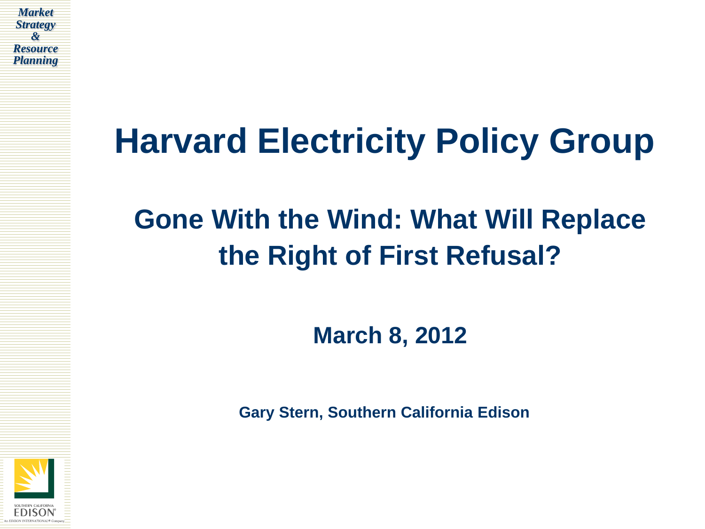

# **Harvard Electricity Policy Group**

## **Gone With the Wind: What Will Replace the Right of First Refusal?**

**March 8, 2012**

**Gary Stern, Southern California Edison**

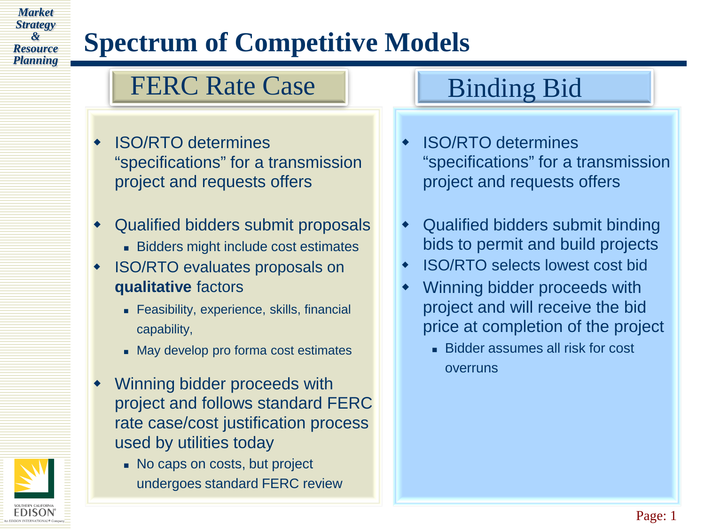## **Spectrum of Competitive Models**

### FERC Rate Case | Binding Bid

*Market Strategy & Resource Planning*

- ISO/RTO determines "specifications" for a transmission project and requests offers
- Qualified bidders submit proposals
	- Bidders might include cost estimates
- ISO/RTO evaluates proposals on **qualitative** factors
	- **Feasibility, experience, skills, financial** capability,
	- May develop pro forma cost estimates
- Winning bidder proceeds with project and follows standard FERC rate case/cost justification process used by utilities today
	- No caps on costs, but project undergoes standard FERC review

- ISO/RTO determines "specifications" for a transmission project and requests offers
- Qualified bidders submit binding bids to permit and build projects
- ISO/RTO selects lowest cost bid
- Winning bidder proceeds with project and will receive the bid price at completion of the project
	- **Bidder assumes all risk for cost** overruns